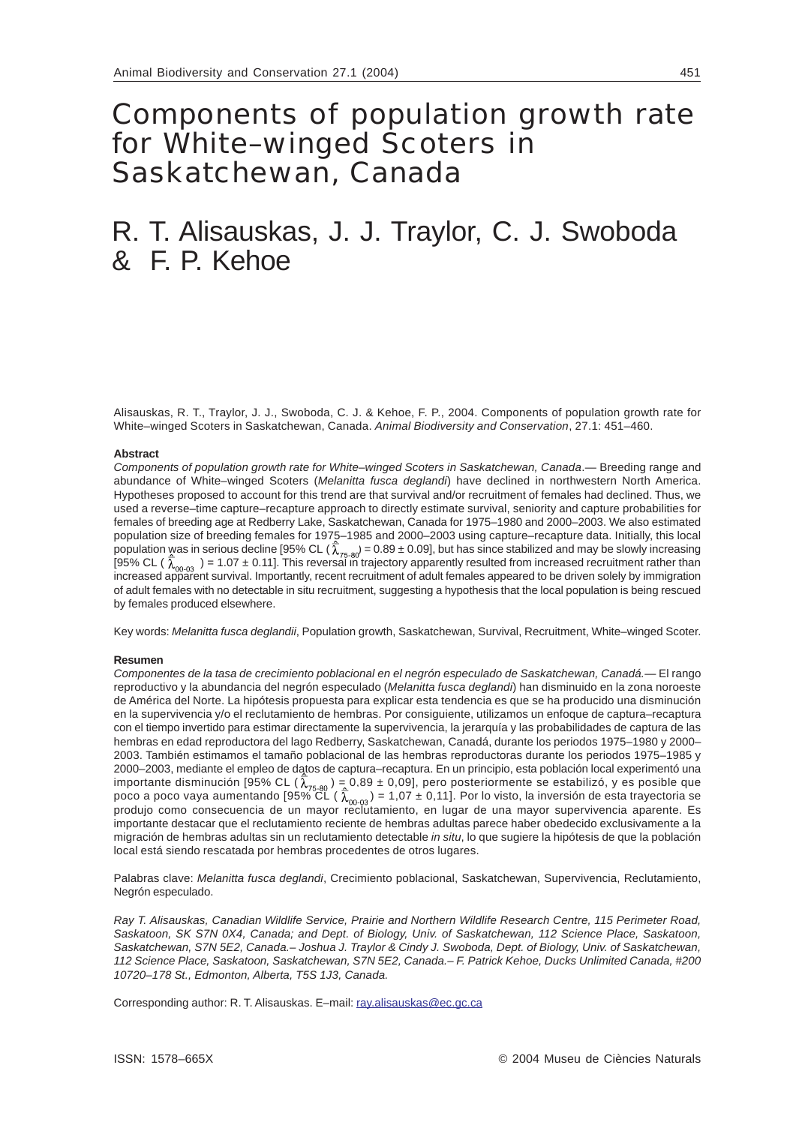# Components of population growth rate for White–winged Scoters in Saskatchewan, Canada

# R. T. Alisauskas, J. J. Traylor, C. J. Swoboda & F. P. Kehoe

Alisauskas, R. T., Traylor, J. J., Swoboda, C. J. & Kehoe, F. P., 2004. Components of population growth rate for White–winged Scoters in Saskatchewan, Canada. *Animal Biodiversity and Conservation*, 27.1: 451–460.

#### **Abstract**

*Components of population growth rate for White–winged Scoters in Saskatchewan, Canada*.— Breeding range and abundance of White–winged Scoters (*Melanitta fusca deglandi*) have declined in northwestern North America. Hypotheses proposed to account for this trend are that survival and/or recruitment of females had declined. Thus, we used a reverse–time capture–recapture approach to directly estimate survival, seniority and capture probabilities for females of breeding age at Redberry Lake, Saskatchewan, Canada for 1975–1980 and 2000–2003. We also estimated population size of breeding females for 1975–1985 and 2000–2003 using capture–recapture data. Initially, this local population was in serious decline [95% CL (  $\lambda_{75,90}$  = 0.89 ± 0.09], but has since stabilized and may be slowly increasing [95% CL (  $\lambda_{\rm on, 02}$  ) = 1.07 ± 0.11]. This reversal in trajectory apparently resulted from increased recruitment rather than increased apparent survival. Importantly, recent recruitment of adult females appeared to be driven solely by immigration of adult females with no detectable in situ recruitment, suggesting a hypothesis that the local population is being rescued by females produced elsewhere.

Key words: *Melanitta fusca deglandii*, Population growth, Saskatchewan, Survival, Recruitment, White–winged Scoter.

### **Resumen**

*Componentes de la tasa de crecimiento poblacional en el negrón especulado de Saskatchewan, Canadá.*— El rango reproductivo y la abundancia del negrón especulado (*Melanitta fusca deglandi*) han disminuido en la zona noroeste de América del Norte. La hipótesis propuesta para explicar esta tendencia es que se ha producido una disminución en la supervivencia y/o el reclutamiento de hembras. Por consiguiente, utilizamos un enfoque de captura–recaptura con el tiempo invertido para estimar directamente la supervivencia, la jerarquía y las probabilidades de captura de las hembras en edad reproductora del lago Redberry, Saskatchewan, Canadá, durante los periodos 1975–1980 y 2000– 2003. También estimamos el tamaño poblacional de las hembras reproductoras durante los periodos 1975–1985 y 2000–2003, mediante el empleo de datos de captura–recaptura. En un principio, esta población local experimentó una importante disminución [95% CL ( $\lambda_{75,80}$ ) = 0,89 ± 0,09], pero posteriormente se estabilizó, y es posible que poco a poco vaya aumentando [95% CL ( $\lambda_{\rm{on,22}}$ ) = 1,07 ± 0,11]. Por lo visto, la inversión de esta trayectoria se produjo como consecuencia de un mayor reclutamiento, en lugar de una mayor supervivencia aparente. Es importante destacar que el reclutamiento reciente de hembras adultas parece haber obedecido exclusivamente a la migración de hembras adultas sin un reclutamiento detectable *in situ*, lo que sugiere la hipótesis de que la población local está siendo rescatada por hembras procedentes de otros lugares.

Palabras clave: *Melanitta fusca deglandi*, Crecimiento poblacional, Saskatchewan, Supervivencia, Reclutamiento, Negrón especulado.

*Ray T. Alisauskas, Canadian Wildlife Service, Prairie and Northern Wildlife Research Centre, 115 Perimeter Road, Saskatoon, SK S7N 0X4, Canada; and Dept. of Biology, Univ. of Saskatchewan, 112 Science Place, Saskatoon, Saskatchewan, S7N 5E2, Canada.– Joshua J. Traylor & Cindy J. Swoboda, Dept. of Biology, Univ. of Saskatchewan, 112 Science Place, Saskatoon, Saskatchewan, S7N 5E2, Canada.– F. Patrick Kehoe, Ducks Unlimited Canada, #200 10720–178 St., Edmonton, Alberta, T5S 1J3, Canada.*

Corresponding author: R. T. Alisauskas. E-mail: ray.alisauskas@ec.gc.ca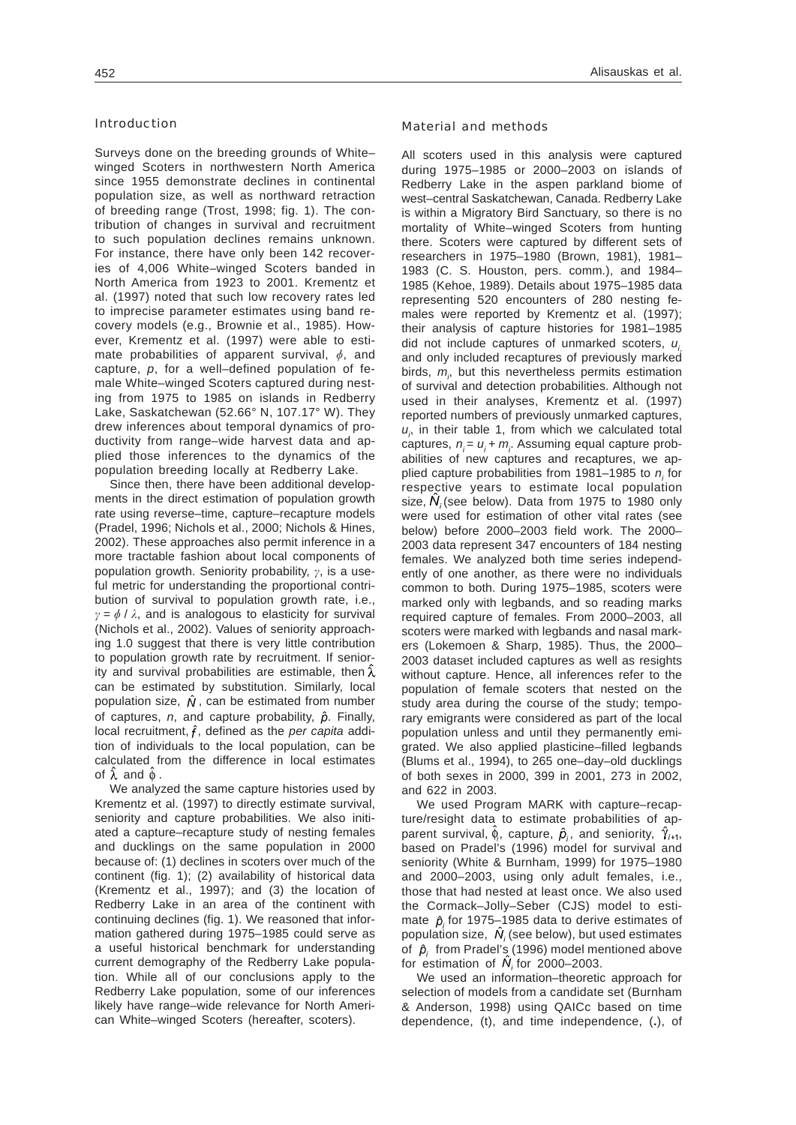## Introduction

Surveys done on the breeding grounds of White– winged Scoters in northwestern North America since 1955 demonstrate declines in continental population size, as well as northward retraction of breeding range (Trost, 1998; fig. 1). The contribution of changes in survival and recruitment to such population declines remains unknown. For instance, there have only been 142 recoveries of 4,006 White–winged Scoters banded in North America from 1923 to 2001. Krementz et al. (1997) noted that such low recovery rates led to imprecise parameter estimates using band recovery models (e.g., Brownie et al., 1985). However, Krementz et al. (1997) were able to estimate probabilities of apparent survival,  $\phi$ , and capture, *p*, for a well–defined population of female White–winged Scoters captured during nesting from 1975 to 1985 on islands in Redberry Lake, Saskatchewan (52.66° N, 107.17° W). They drew inferences about temporal dynamics of productivity from range–wide harvest data and applied those inferences to the dynamics of the population breeding locally at Redberry Lake.

Since then, there have been additional developments in the direct estimation of population growth rate using reverse–time, capture–recapture models (Pradel, 1996; Nichols et al., 2000; Nichols & Hines, 2002). These approaches also permit inference in a more tractable fashion about local components of population growth. Seniority probability,  $\gamma$ , is a useful metric for understanding the proportional contribution of survival to population growth rate, i.e.,  $y = \phi / \lambda$ , and is analogous to elasticity for survival (Nichols et al., 2002). Values of seniority approaching 1.0 suggest that there is very little contribution to population growth rate by recruitment. If seniority and survival probabilities are estimable, then  $\hat{\lambda}$ can be estimated by substitution. Similarly, local population size,  $\hat{N}$ , can be estimated from number of captures,  $n$ , and capture probability,  $\hat{p}$ . Finally, local recruitment,  $\hat{f}$ , defined as the *per capita* addition of individuals to the local population, can be calculated from the difference in local estimates of  $\lambda$  and  $\phi$ .

We analyzed the same capture histories used by Krementz et al. (1997) to directly estimate survival, seniority and capture probabilities. We also initiated a capture–recapture study of nesting females and ducklings on the same population in 2000 because of: (1) declines in scoters over much of the continent (fig. 1); (2) availability of historical data (Krementz et al., 1997); and (3) the location of Redberry Lake in an area of the continent with continuing declines (fig. 1). We reasoned that information gathered during 1975–1985 could serve as a useful historical benchmark for understanding current demography of the Redberry Lake population. While all of our conclusions apply to the Redberry Lake population, some of our inferences likely have range–wide relevance for North American White–winged Scoters (hereafter, scoters).

## Material and methods

All scoters used in this analysis were captured during 1975–1985 or 2000–2003 on islands of Redberry Lake in the aspen parkland biome of west–central Saskatchewan, Canada. Redberry Lake is within a Migratory Bird Sanctuary, so there is no mortality of White–winged Scoters from hunting there. Scoters were captured by different sets of researchers in 1975–1980 (Brown, 1981), 1981– 1983 (C. S. Houston, pers. comm.), and 1984– 1985 (Kehoe, 1989). Details about 1975–1985 data representing 520 encounters of 280 nesting females were reported by Krementz et al. (1997); their analysis of capture histories for 1981–1985 did not include captures of unmarked scoters,  $u_i$ and only included recaptures of previously marked birds,  $m_{\rho}$  but this nevertheless permits estimation of survival and detection probabilities. Although not used in their analyses, Krementz et al. (1997) reported numbers of previously unmarked captures,  $u_i$ , in their table 1, from which we calculated total captures,  $n_i = u_i + m_i$ . Assuming equal capture probabilities of new captures and recaptures, we applied capture probabilities from 1981–1985 to n<sub>i</sub> for respective years to estimate local population size,  $\ddot{N}_i$  (see below). Data from 1975 to 1980 only were used for estimation of other vital rates (see below) before 2000–2003 field work. The 2000– 2003 data represent 347 encounters of 184 nesting females. We analyzed both time series independently of one another, as there were no individuals common to both. During 1975–1985, scoters were marked only with legbands, and so reading marks required capture of females. From 2000–2003, all scoters were marked with legbands and nasal markers (Lokemoen & Sharp, 1985). Thus, the 2000– 2003 dataset included captures as well as resights without capture. Hence, all inferences refer to the population of female scoters that nested on the study area during the course of the study; temporary emigrants were considered as part of the local population unless and until they permanently emigrated. We also applied plasticine–filled legbands (Blums et al., 1994), to 265 one–day–old ducklings of both sexes in 2000, 399 in 2001, 273 in 2002, and 622 in 2003.

We used Program MARK with capture–recapture/resight data to estimate probabilities of apparent survival,  $\hat{\phi}_i$ , capture,  $\hat{\rho}_i$ , and seniority,  $\hat{\gamma}_{i+1}$ , based on Pradel's (1996) model for survival and seniority (White & Burnham, 1999) for 1975–1980 and 2000–2003, using only adult females, i.e., those that had nested at least once. We also used the Cormack–Jolly–Seber (CJS) model to estimate  $\hat{p}_i$  for 1975–1985 data to derive estimates of population size,  $\hat{N}_i$  (see below), but used estimates of  $\hat{p}$  from Pradel's (1996) model mentioned above for estimation of  $\hat{N}$  for 2000–2003.

We used an information–theoretic approach for selection of models from a candidate set (Burnham & Anderson, 1998) using QAICc based on time dependence, (t), and time independence, (**.**), of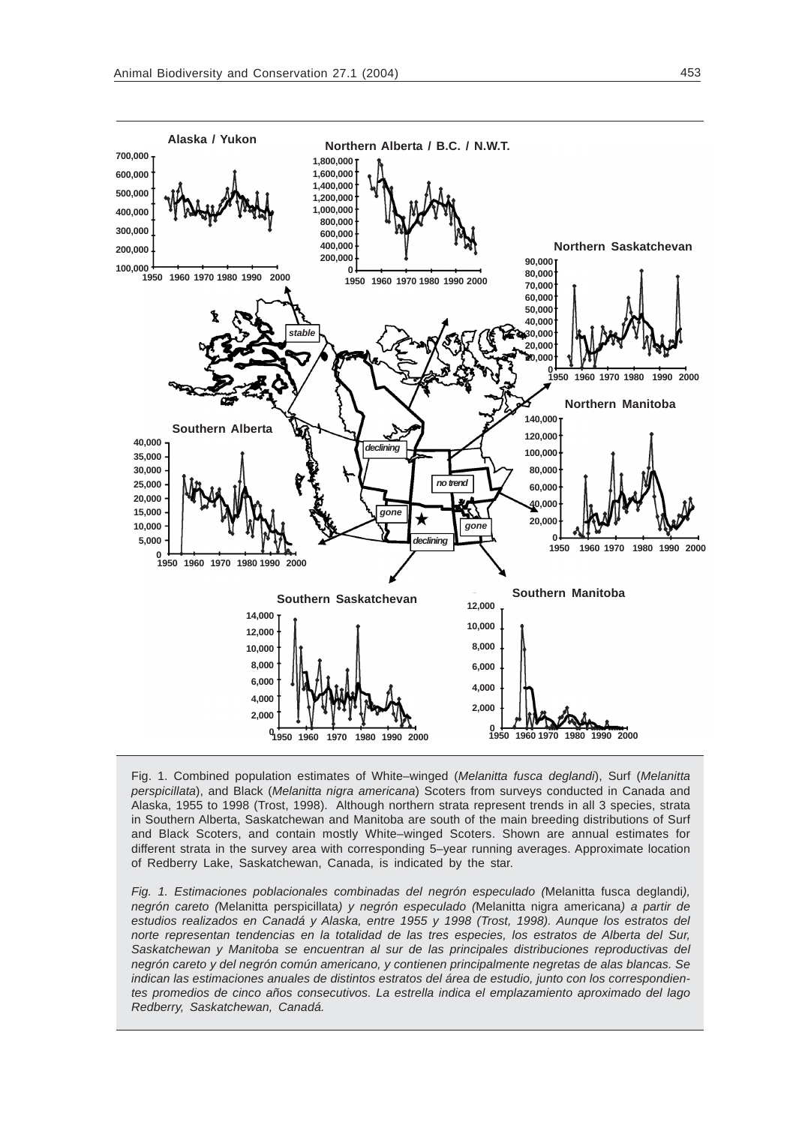

Fig. 1. Combined population estimates of White–winged (*Melanitta fusca deglandi*), Surf (*Melanitta perspicillata*), and Black (*Melanitta nigra americana*) Scoters from surveys conducted in Canada and Alaska, 1955 to 1998 (Trost, 1998). Although northern strata represent trends in all 3 species, strata in Southern Alberta, Saskatchewan and Manitoba are south of the main breeding distributions of Surf and Black Scoters, and contain mostly White–winged Scoters. Shown are annual estimates for different strata in the survey area with corresponding 5–year running averages. Approximate location of Redberry Lake, Saskatchewan, Canada, is indicated by the star.

*Fig. 1. Estimaciones poblacionales combinadas del negrón especulado (*Melanitta fusca deglandi*), negrón careto (*Melanitta perspicillata*) y negrón especulado (*Melanitta nigra americana*) a partir de estudios realizados en Canadá y Alaska, entre 1955 y 1998 (Trost, 1998). Aunque los estratos del norte representan tendencias en la totalidad de las tres especies, los estratos de Alberta del Sur, Saskatchewan y Manitoba se encuentran al sur de las principales distribuciones reproductivas del negrón careto y del negrón común americano, y contienen principalmente negretas de alas blancas. Se indican las estimaciones anuales de distintos estratos del área de estudio, junto con los correspondientes promedios de cinco años consecutivos. La estrella indica el emplazamiento aproximado del lago Redberry, Saskatchewan, Canadá.*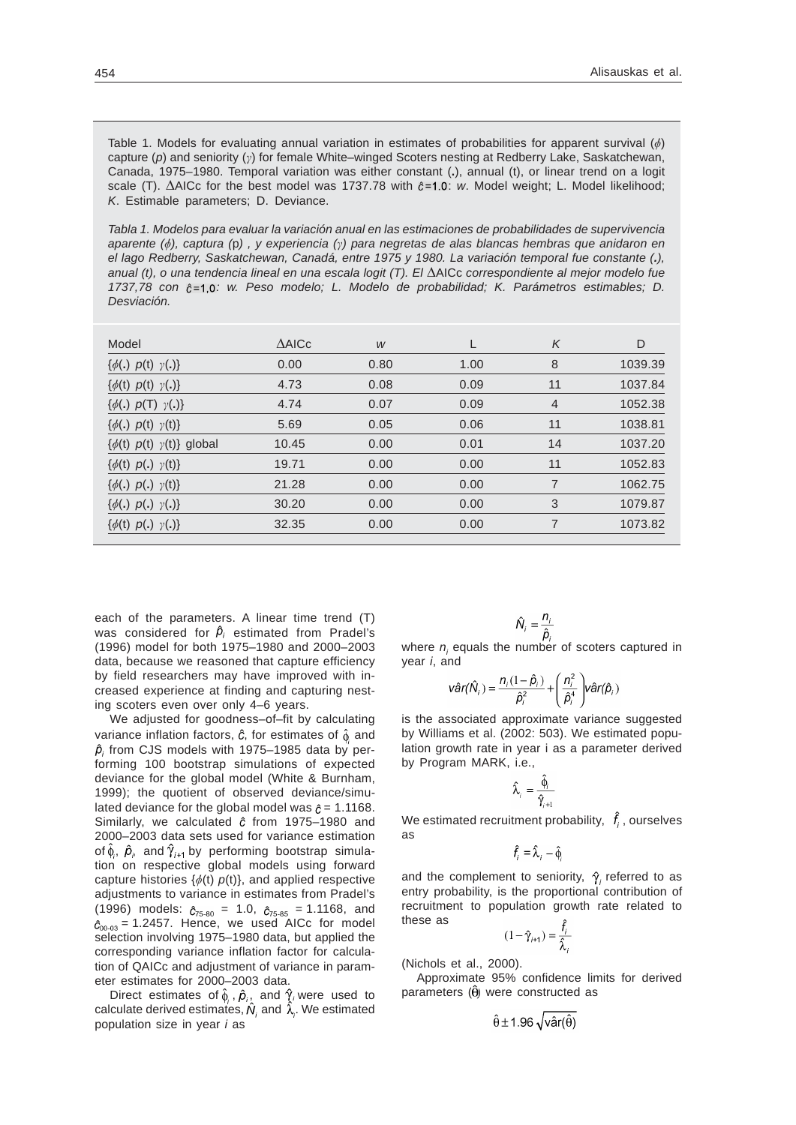Table 1. Models for evaluating annual variation in estimates of probabilities for apparent survival  $(\phi)$ capture (p) and seniority (y) for female White–winged Scoters nesting at Redberry Lake, Saskatchewan, Canada, 1975–1980. Temporal variation was either constant (**.**), annual (t), or linear trend on a logit scale (T).  $\Delta$ AICc for the best model was 1737.78 with  $\hat{c}$ =1.0: w. Model weight; L. Model likelihood; *K*. Estimable parameters; D. Deviance.

*Tabla 1. Modelos para evaluar la variación anual en las estimaciones de probabilidades de supervivencia aparente (*&*), captura (*p*) , y experiencia () para negretas de alas blancas hembras que anidaron en el lago Redberry, Saskatchewan, Canadá, entre 1975 y 1980. La variación temporal fue constante (.), anual (t), o una tendencia lineal en una escala logit (T). El* AICc *correspondiente al mejor modelo fue* 1737,78 con  $\hat{c}$ =1.0: w. Peso modelo; L. Modelo de probabilidad; K. Parámetros estimables; D. *Desviación.*

|       |      |      | K              | D       |
|-------|------|------|----------------|---------|
| 0.00  | 0.80 | 1.00 | 8              | 1039.39 |
| 4.73  | 0.08 | 0.09 | 11             | 1037.84 |
| 4.74  | 0.07 | 0.09 | $\overline{4}$ | 1052.38 |
| 5.69  | 0.05 | 0.06 | 11             | 1038.81 |
| 10.45 | 0.00 | 0.01 | 14             | 1037.20 |
| 19.71 | 0.00 | 0.00 | 11             | 1052.83 |
| 21.28 | 0.00 | 0.00 | 7              | 1062.75 |
| 30.20 | 0.00 | 0.00 | 3              | 1079.87 |
| 32.35 | 0.00 | 0.00 | 7              | 1073.82 |
|       |      |      |                |         |

each of the parameters. A linear time trend (T) was considered for  $\hat{p}_i$  estimated from Pradel's (1996) model for both 1975–1980 and 2000–2003 data, because we reasoned that capture efficiency by field researchers may have improved with increased experience at finding and capturing nesting scoters even over only 4–6 years.

We adjusted for goodness–of–fit by calculating variance inflation factors,  $\hat{c}$ , for estimates of  $\hat{\phi}$  and  $\hat{p}_i$  from CJS models with 1975–1985 data by performing 100 bootstrap simulations of expected deviance for the global model (White & Burnham, 1999); the quotient of observed deviance/simulated deviance for the global model was  $\hat{c} = 1.1168$ . Similarly, we calculated  $\hat{c}$  from 1975–1980 and 2000–2003 data sets used for variance estimation of  $\hat{\phi}_i$ ,  $\hat{\rho}_i$  and  $\hat{\gamma}_{i+1}$  by performing bootstrap simulation on respective global models using forward capture histories  $\{\phi(t)$   $p(t)\}$ , and applied respective adjustments to variance in estimates from Pradel's (1996) models:  $\hat{c}_{75-80}$  = 1.0,  $\hat{c}_{75-85}$  = 1.1168, and  $\hat{c}_{00-03}$  = 1.2457. Hence, we used AICc for model selection involving 1975–1980 data, but applied the corresponding variance inflation factor for calculation of QAICc and adjustment of variance in parameter estimates for 2000–2003 data.

Direct estimates of  $\hat{\phi}_i$ ,  $\hat{\rho}_i$ , and  $\hat{\gamma}_i$  were used to calculate derived estimates,  $\hat{N}_i$  and  $\hat{\lambda}_i$ . We estimated population size in year *i* as

$$
\hat{N}_i = \frac{n_i}{\hat{n}}
$$

where  $n<sub>i</sub>$  equals the number of scoters captured in year *i*, and

$$
\hat{\text{var}}(\hat{\textbf{N}}_i) = \frac{n_i(1-\hat{\rho}_i)}{\hat{\rho}_i^2} + \left(\frac{n_i^2}{\hat{\rho}_i^4}\right)\hat{\text{var}}(\hat{\rho}_i)
$$

is the associated approximate variance suggested by Williams et al. (2002: 503). We estimated population growth rate in year i as a parameter derived by Program MARK, i.e.,

$$
\hat{\lambda}_{i} = \frac{\hat{\phi}_{i}}{\hat{\gamma}_{i+1}}
$$

We estimated recruitment probability,  $\hat{f}_i$ , ourselves as

$$
\hat{f}_i = \hat{\lambda}_i - \hat{\phi}_i
$$

and the complement to seniority,  $\hat{\gamma}_i$  referred to as entry probability, is the proportional contribution of recruitment to population growth rate related to these as  $\hat{\mathbf{c}}$ 

$$
(1 - \hat{\gamma}_{i+1}) = \frac{t_i}{\hat{\lambda}_i}
$$

(Nichols et al., 2000).

Approximate 95% confidence limits for derived parameters  $( \hat{\theta} )$  were constructed as

$$
\hat{\theta} \pm 1.96 \sqrt{\text{var}(\hat{\theta})}
$$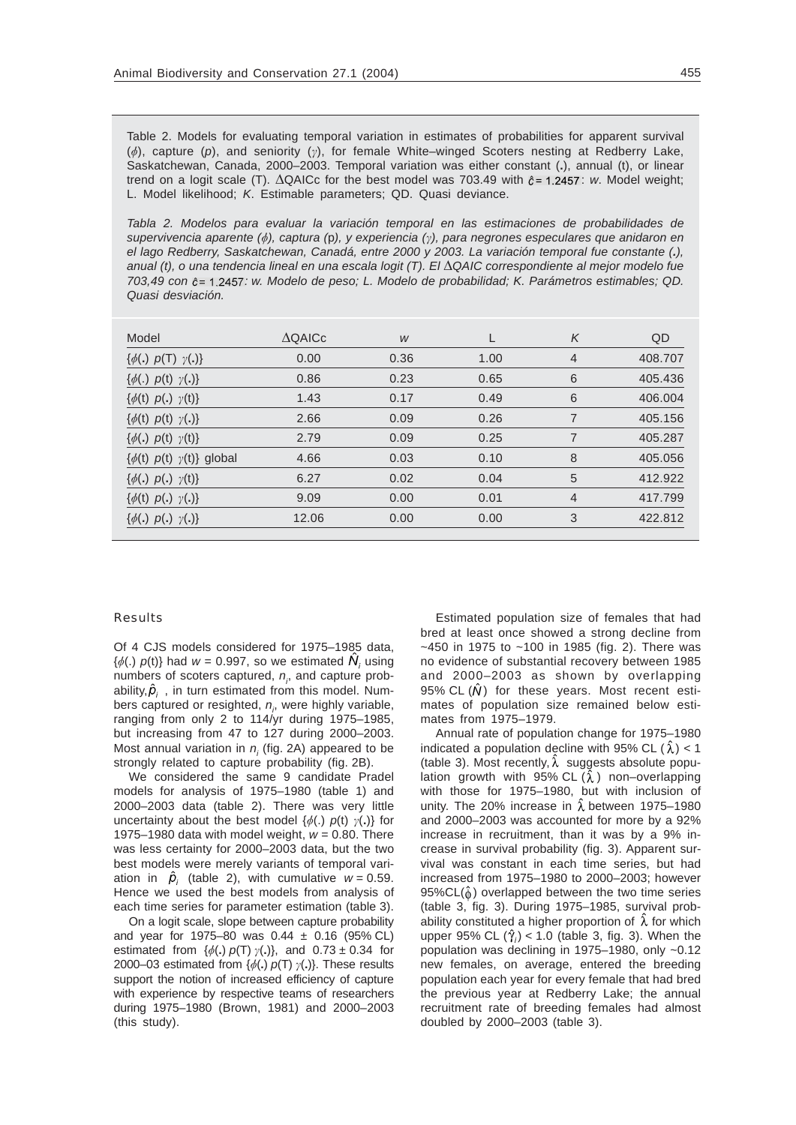Table 2. Models for evaluating temporal variation in estimates of probabilities for apparent survival  $(\phi)$ , capture  $(p)$ , and seniority  $(\gamma)$ , for female White–winged Scoters nesting at Redberry Lake, Saskatchewan, Canada, 2000–2003. Temporal variation was either constant (**.**), annual (t), or linear trend on a logit scale (T).  $\Delta QAICc$  for the best model was 703.49 with  $\hat{c} = 1.2457$ : w. Model weight; L. Model likelihood; *K*. Estimable parameters; QD. Quasi deviance.

*Tabla 2. Modelos para evaluar la variación temporal en las estimaciones de probabilidades de supervivencia aparente (*&*), captura (*p*), y experiencia (), para negrones especulares que anidaron en el lago Redberry, Saskatchewan, Canadá, entre 2000 y 2003. La variación temporal fue constante (.), anual (t), o una tendencia lineal en una escala logit (T). El QAIC correspondiente al mejor modelo fue 703,49 con*  $\hat{c}$  *= 1,2457: w. Modelo de peso; L. Modelo de probabilidad; K. Parámetros estimables; QD. Quasi desviación.*

| Model                                     | $\triangle$ QAICc | W    |      | K              | QD      |
|-------------------------------------------|-------------------|------|------|----------------|---------|
| $\{\phi(.)\;\;p(T)\;\;\gamma(.)\}$        | 0.00              | 0.36 | 1.00 | $\overline{4}$ | 408,707 |
| $\{\phi(.)\;\;p(t)\;\;\gamma(.)\}$        | 0.86              | 0.23 | 0.65 | 6              | 405.436 |
| $\{\phi(t) \; p(.) \; \gamma(t)\}$        | 1.43              | 0.17 | 0.49 | 6              | 406,004 |
| $\{\phi(t) \; p(t) \; \gamma(.)\}$        | 2.66              | 0.09 | 0.26 | 7              | 405.156 |
| $\{\phi(.)\;\;p(t)\;\;\gamma(t)\}\;$      | 2.79              | 0.09 | 0.25 | 7              | 405.287 |
| $\{\phi(t) \; p(t) \; \gamma(t)\}$ global | 4.66              | 0.03 | 0.10 | 8              | 405.056 |
| $\{\phi(.) \; p(.) \; \gamma(t)\}$        | 6.27              | 0.02 | 0.04 | 5              | 412.922 |
| $\{\phi(t) \; p(.) \; \gamma(.)\}$        | 9.09              | 0.00 | 0.01 | 4              | 417.799 |
| $\{\phi(.) \; p(.) \; \gamma(.)\}$        | 12.06             | 0.00 | 0.00 | 3              | 422.812 |
|                                           |                   |      |      |                |         |

### Results

Of 4 CJS models considered for 1975–1985 data,  $\{\phi(.)\ \rho(t)\}$  had  $w = 0.997$ , so we estimated  $N_i$  using numbers of scoters captured,  $n<sub>p</sub>$  and capture probability,  $\hat{p}_i$ , in turn estimated from this model. Numbers captured or resighted,  $n_{i}$ , were highly variable, ranging from only 2 to 114/yr during 1975–1985, but increasing from 47 to 127 during 2000–2003. Most annual variation in *n<sub>i</sub>* (fig. 2A) appeared to be strongly related to capture probability (fig. 2B).

We considered the same 9 candidate Pradel models for analysis of 1975–1980 (table 1) and 2000–2003 data (table 2). There was very little uncertainty about the best model  $\{\phi(.)\;p(t)\;\gamma(.)\}$  for 1975–1980 data with model weight, *w* = 0.80. There was less certainty for 2000–2003 data, but the two best models were merely variants of temporal variation in  $\hat{p}_i$  (table 2), with cumulative  $w = 0.59$ . Hence we used the best models from analysis of each time series for parameter estimation (table 3).

On a logit scale, slope between capture probability and year for 1975–80 was  $0.44 \pm 0.16$  (95% CL) estimated from  $\{\phi(.)\ p(T)\ \gamma(.)\}$ , and  $0.73 \pm 0.34$  for 2000–03 estimated from  $\{\phi(.)\ \rho(T)\ \gamma(.)\}$ . These results support the notion of increased efficiency of capture with experience by respective teams of researchers during 1975–1980 (Brown, 1981) and 2000–2003 (this study).

Estimated population size of females that had bred at least once showed a strong decline from  $-450$  in 1975 to  $-100$  in 1985 (fig. 2). There was no evidence of substantial recovery between 1985 and 2000–2003 as shown by overlapping 95% CL  $(\hat{N})$  for these years. Most recent estimates of population size remained below estimates from 1975–1979.

Annual rate of population change for 1975–1980 indicated a population decline with 95% CL  $(\lambda)$  < 1 (table 3). Most recently,  $\lambda$  suggests absolute population growth with 95% CL  $(\hat{\lambda})$  non–overlapping with those for 1975–1980, but with inclusion of unity. The 20% increase in  $\hat{\lambda}$  between 1975–1980 and 2000–2003 was accounted for more by a 92% increase in recruitment, than it was by a 9% increase in survival probability (fig. 3). Apparent survival was constant in each time series, but had increased from 1975–1980 to 2000–2003; however  $95\%CL(\hat{\phi})$  overlapped between the two time series (table 3, fig. 3). During 1975–1985, survival probability constituted a higher proportion of  $\lambda$  for which upper 95% CL  $(\hat{\gamma}_i)$  < 1.0 (table 3, fig. 3). When the population was declining in 1975–1980, only ~0.12 new females, on average, entered the breeding population each year for every female that had bred the previous year at Redberry Lake; the annual recruitment rate of breeding females had almost doubled by 2000–2003 (table 3).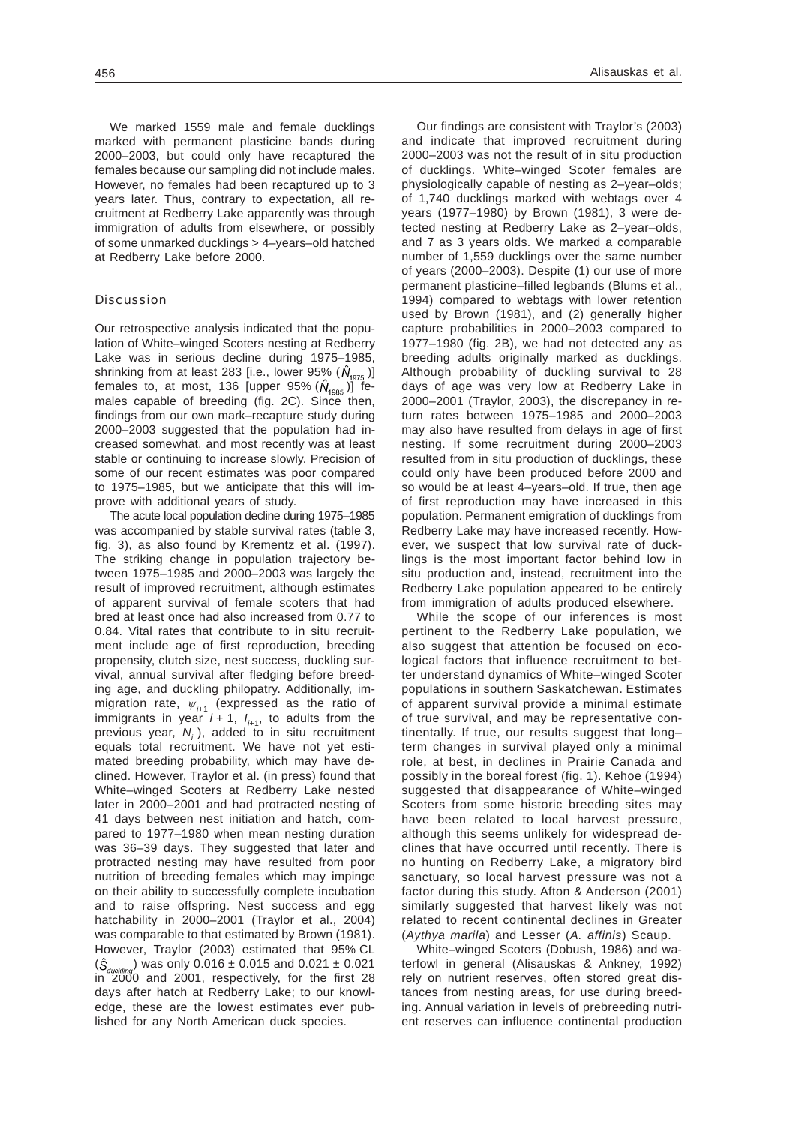We marked 1559 male and female ducklings marked with permanent plasticine bands during 2000–2003, but could only have recaptured the females because our sampling did not include males. However, no females had been recaptured up to 3 years later. Thus, contrary to expectation, all recruitment at Redberry Lake apparently was through immigration of adults from elsewhere, or possibly of some unmarked ducklings > 4–years–old hatched at Redberry Lake before 2000.

## Discussion

Our retrospective analysis indicated that the population of White–winged Scoters nesting at Redberry Lake was in serious decline during 1975–1985, shrinking from at least 283 [i.e., lower 95%  $(\hat{N}_{1975})$ ] females to, at most, 136 [upper 95%  $(\hat{N}_{1985})$ ] females capable of breeding (fig. 2C). Since then, findings from our own mark–recapture study during 2000–2003 suggested that the population had increased somewhat, and most recently was at least stable or continuing to increase slowly. Precision of some of our recent estimates was poor compared to 1975–1985, but we anticipate that this will improve with additional years of study.

The acute local population decline during 1975–1985 was accompanied by stable survival rates (table 3, fig. 3), as also found by Krementz et al. (1997). The striking change in population trajectory between 1975–1985 and 2000–2003 was largely the result of improved recruitment, although estimates of apparent survival of female scoters that had bred at least once had also increased from 0.77 to 0.84. Vital rates that contribute to in situ recruitment include age of first reproduction, breeding propensity, clutch size, nest success, duckling survival, annual survival after fledging before breeding age, and duckling philopatry. Additionally, immigration rate,  $\psi_{i+1}$  (expressed as the ratio of immigrants in year *i* + 1,  $I_{i+1}$ , to adults from the previous year,  $N_i$ ), added to in situ recruitment equals total recruitment. We have not yet estimated breeding probability, which may have declined. However, Traylor et al. (in press) found that White–winged Scoters at Redberry Lake nested later in 2000–2001 and had protracted nesting of 41 days between nest initiation and hatch, compared to 1977–1980 when mean nesting duration was 36–39 days. They suggested that later and protracted nesting may have resulted from poor nutrition of breeding females which may impinge on their ability to successfully complete incubation and to raise offspring. Nest success and egg hatchability in 2000–2001 (Traylor et al., 2004) was comparable to that estimated by Brown (1981). However, Traylor (2003) estimated that 95% CL  $({\hat S}_{\text{duckling}})$  was only 0.016 ± 0.015 and 0.021 ± 0.021 in 2000 and 2001, respectively, for the first 28 days after hatch at Redberry Lake; to our knowledge, these are the lowest estimates ever published for any North American duck species.

Our findings are consistent with Traylor's (2003) and indicate that improved recruitment during 2000–2003 was not the result of in situ production of ducklings. White–winged Scoter females are physiologically capable of nesting as 2–year–olds; of 1,740 ducklings marked with webtags over 4 years (1977–1980) by Brown (1981), 3 were detected nesting at Redberry Lake as 2–year–olds, and 7 as 3 years olds. We marked a comparable number of 1,559 ducklings over the same number of years (2000–2003). Despite (1) our use of more permanent plasticine–filled legbands (Blums et al., 1994) compared to webtags with lower retention used by Brown (1981), and (2) generally higher capture probabilities in 2000–2003 compared to 1977–1980 (fig. 2B), we had not detected any as breeding adults originally marked as ducklings. Although probability of duckling survival to 28 days of age was very low at Redberry Lake in 2000–2001 (Traylor, 2003), the discrepancy in return rates between 1975–1985 and 2000–2003 may also have resulted from delays in age of first nesting. If some recruitment during 2000–2003 resulted from in situ production of ducklings, these could only have been produced before 2000 and so would be at least 4–years–old. If true, then age of first reproduction may have increased in this population. Permanent emigration of ducklings from Redberry Lake may have increased recently. However, we suspect that low survival rate of ducklings is the most important factor behind low in situ production and, instead, recruitment into the Redberry Lake population appeared to be entirely from immigration of adults produced elsewhere.

While the scope of our inferences is most pertinent to the Redberry Lake population, we also suggest that attention be focused on ecological factors that influence recruitment to better understand dynamics of White–winged Scoter populations in southern Saskatchewan. Estimates of apparent survival provide a minimal estimate of true survival, and may be representative continentally. If true, our results suggest that long– term changes in survival played only a minimal role, at best, in declines in Prairie Canada and possibly in the boreal forest (fig. 1). Kehoe (1994) suggested that disappearance of White–winged Scoters from some historic breeding sites may have been related to local harvest pressure, although this seems unlikely for widespread declines that have occurred until recently. There is no hunting on Redberry Lake, a migratory bird sanctuary, so local harvest pressure was not a factor during this study. Afton & Anderson (2001) similarly suggested that harvest likely was not related to recent continental declines in Greater (*Aythya marila*) and Lesser (*A. affinis*) Scaup.

White–winged Scoters (Dobush, 1986) and waterfowl in general (Alisauskas & Ankney, 1992) rely on nutrient reserves, often stored great distances from nesting areas, for use during breeding. Annual variation in levels of prebreeding nutrient reserves can influence continental production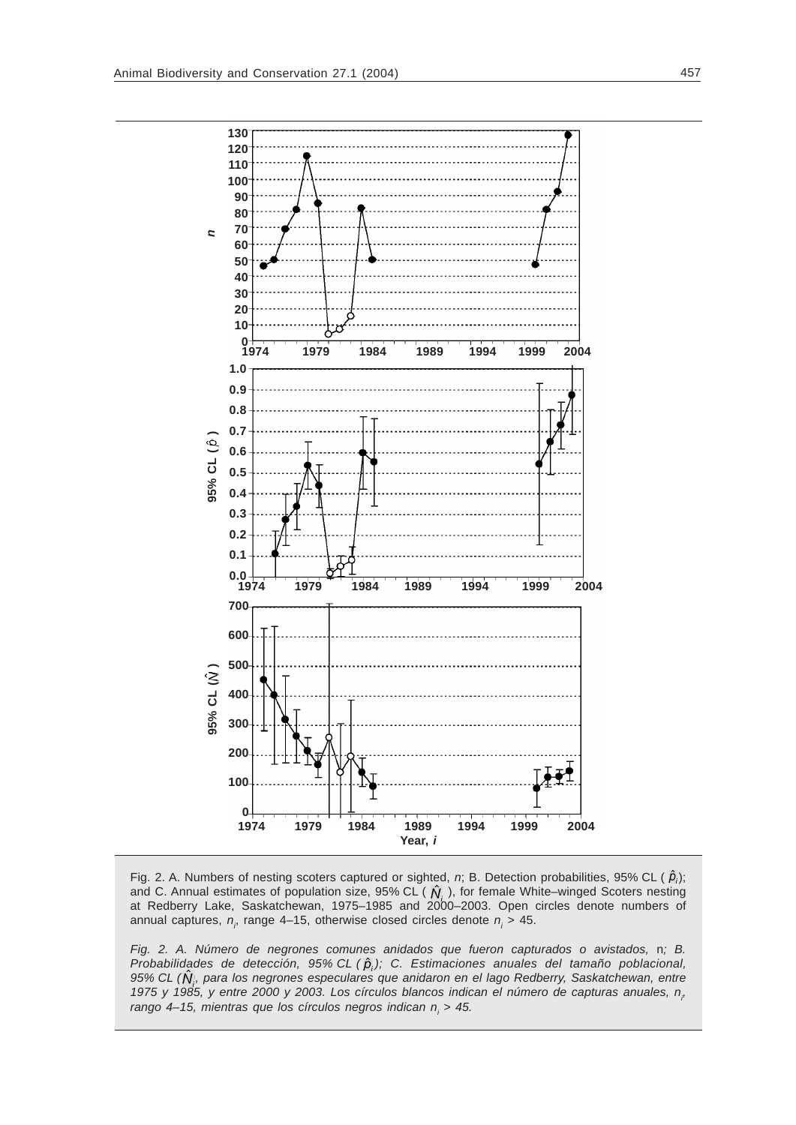

Fig. 2. A. Numbers of nesting scoters captured or sighted, *n*; B. Detection probabilities, 95% CL ( $\hat{p}_i$ ); and C. Annual estimates of population size, 95% CL ( $\hat{N}_i$ , ), for female White–winged Scoters nesting at Redberry Lake, Saskatchewan, 1975–1985 and 2000–2003. Open circles denote numbers of annual captures,  $n<sub>i</sub>$  range 4–15, otherwise closed circles denote  $n<sub>i</sub>$  > 45.

*Fig. 2. A. Número de negrones comunes anidados que fueron capturados o avistados,* n*; B. Probabilidades de detección, 95% CL (* $\hat{p}_i$ *); C. Estimaciones anuales del tamaño poblacional,* 95% CL ( $\hat{\textbf{N}}$ ), para los negrones especulares que anidaron en el lago Redberry, Saskatchewan, entre 1975 y 1985, y entre 2000 y 2003. Los círculos blancos indican el número de capturas anuales, n<sub>i</sub>, rango 4–15, mientras que los círculos negros indican n<sub>i</sub> > 45.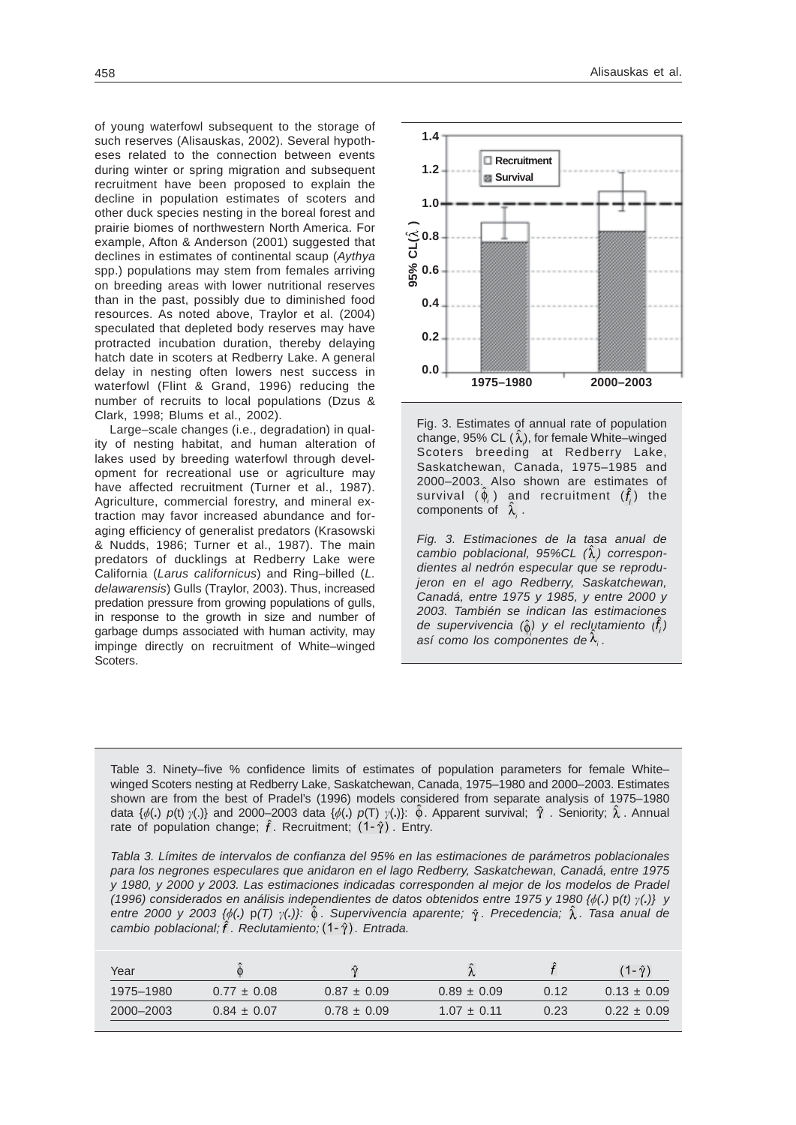of young waterfowl subsequent to the storage of such reserves (Alisauskas, 2002). Several hypotheses related to the connection between events during winter or spring migration and subsequent recruitment have been proposed to explain the decline in population estimates of scoters and other duck species nesting in the boreal forest and prairie biomes of northwestern North America. For example, Afton & Anderson (2001) suggested that declines in estimates of continental scaup (*Aythya* spp.) populations may stem from females arriving on breeding areas with lower nutritional reserves than in the past, possibly due to diminished food resources. As noted above, Traylor et al. (2004) speculated that depleted body reserves may have protracted incubation duration, thereby delaying hatch date in scoters at Redberry Lake. A general delay in nesting often lowers nest success in waterfowl (Flint & Grand, 1996) reducing the number of recruits to local populations (Dzus & Clark, 1998; Blums et al., 2002).

Large–scale changes (i.e., degradation) in quality of nesting habitat, and human alteration of lakes used by breeding waterfowl through development for recreational use or agriculture may have affected recruitment (Turner et al., 1987). Agriculture, commercial forestry, and mineral extraction may favor increased abundance and foraging efficiency of generalist predators (Krasowski & Nudds, 1986; Turner et al., 1987). The main predators of ducklings at Redberry Lake were California (*Larus californicus*) and Ring–billed (*L. delawarensis*) Gulls (Traylor, 2003). Thus, increased predation pressure from growing populations of gulls, in response to the growth in size and number of garbage dumps associated with human activity, may impinge directly on recruitment of White–winged Scoters.



Fig. 3. Estimates of annual rate of population change, 95% CL  $(\lambda)$ , for female White–winged Scoters breeding at Redberry Lake, Saskatchewan, Canada, 1975–1985 and 2000–2003. Also shown are estimates of survival  $(\phi_i)$  and recruitment  $(\hat{f}_i)$  the components of  $\hat{\lambda}$ .

*Fig. 3. Estimaciones de la tasa anual de* cambio poblacional, 95%CL  $(\hat{\lambda})$  correspon*dientes al nedrón especular que se reprodujeron en el ago Redberry, Saskatchewan, Canadá, entre 1975 y 1985, y entre 2000 y 2003. También se indican las estimaciones de supervivencia (* $\hat{\theta}$ *) y el reclutamiento (f,)* así como los componentes de  $\lambda_i$ .

Table 3. Ninety–five % confidence limits of estimates of population parameters for female White– winged Scoters nesting at Redberry Lake, Saskatchewan, Canada, 1975–1980 and 2000–2003. Estimates shown are from the best of Pradel's (1996) models considered from separate analysis of 1975–1980 data  $\{\phi(.)$   $p(t)$   $\gamma(.)\}$  and 2000–2003 data  $\{\phi(.)$   $p(T)$   $\gamma(.)\}$ :  $\phi$ . Apparent survival;  $\gamma$ . Seniority;  $\lambda$ . Annual rate of population change;  $\hat{f}$ . Recruitment;  $(1-\hat{\gamma})$ . Entry.

*Tabla 3. Límites de intervalos de confianza del 95% en las estimaciones de parámetros poblacionales para los negrones especulares que anidaron en el lago Redberry, Saskatchewan, Canadá, entre 1975 y 1980, y 2000 y 2003. Las estimaciones indicadas corresponden al mejor de los modelos de Pradel (1996) considerados en análisis independientes de datos obtenidos entre 1975 y 1980 {*&*(.)* p*(t) (.)} y entre 2000 y 2003 {*&*(.)* p*(T) (.)}: . Supervivencia aparente; . Precedencia; . Tasa anual de cambio poblacional;*  $\hat{f}$ . Reclutamiento;  $(1-\hat{y})$ . Entrada.

| Year      |                 | $\hat{ }$       |                 |      |                 |
|-----------|-----------------|-----------------|-----------------|------|-----------------|
| 1975-1980 | $0.77 \pm 0.08$ | $0.87 \pm 0.09$ | $0.89 \pm 0.09$ | 0.12 | $0.13 \pm 0.09$ |
| 2000-2003 | $0.84 \pm 0.07$ | $0.78 \pm 0.09$ | $1.07 \pm 0.11$ | 0.23 | $0.22 \pm 0.09$ |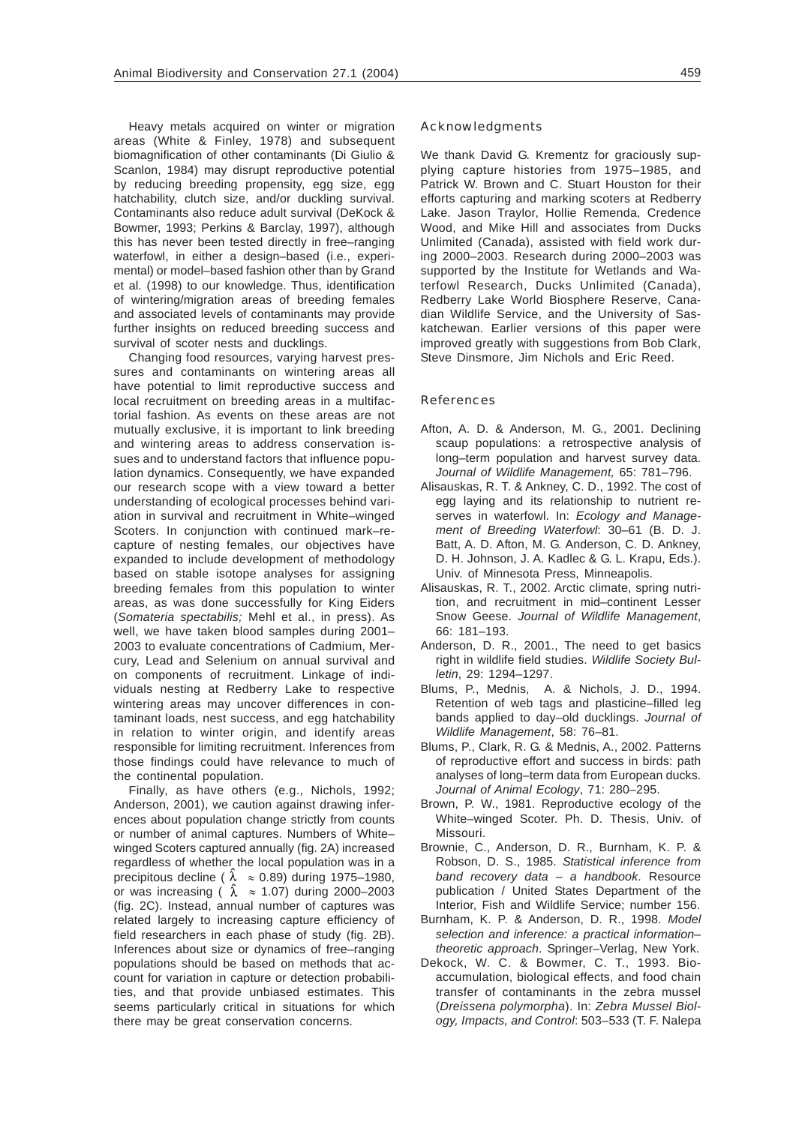Heavy metals acquired on winter or migration areas (White & Finley, 1978) and subsequent biomagnification of other contaminants (Di Giulio & Scanlon, 1984) may disrupt reproductive potential by reducing breeding propensity, egg size, egg hatchability, clutch size, and/or duckling survival. Contaminants also reduce adult survival (DeKock & Bowmer, 1993; Perkins & Barclay, 1997), although this has never been tested directly in free–ranging waterfowl, in either a design–based (i.e., experimental) or model–based fashion other than by Grand et al. (1998) to our knowledge. Thus, identification of wintering/migration areas of breeding females and associated levels of contaminants may provide further insights on reduced breeding success and survival of scoter nests and ducklings.

Changing food resources, varying harvest pressures and contaminants on wintering areas all have potential to limit reproductive success and local recruitment on breeding areas in a multifactorial fashion. As events on these areas are not mutually exclusive, it is important to link breeding and wintering areas to address conservation issues and to understand factors that influence population dynamics. Consequently, we have expanded our research scope with a view toward a better understanding of ecological processes behind variation in survival and recruitment in White–winged Scoters. In conjunction with continued mark–recapture of nesting females, our objectives have expanded to include development of methodology based on stable isotope analyses for assigning breeding females from this population to winter areas, as was done successfully for King Eiders (*Somateria spectabilis;* Mehl et al., in press). As well, we have taken blood samples during 2001– 2003 to evaluate concentrations of Cadmium, Mercury, Lead and Selenium on annual survival and on components of recruitment. Linkage of individuals nesting at Redberry Lake to respective wintering areas may uncover differences in contaminant loads, nest success, and egg hatchability in relation to winter origin, and identify areas responsible for limiting recruitment. Inferences from those findings could have relevance to much of the continental population.

Finally, as have others (e.g., Nichols, 1992; Anderson, 2001), we caution against drawing inferences about population change strictly from counts or number of animal captures. Numbers of White– winged Scoters captured annually (fig. 2A) increased regardless of whether the local population was in a precipitous decline (  $\lambda \approx 0.89$ ) during 1975–1980, or was increasing (  $\lambda \approx 1.07$ ) during 2000–2003 (fig. 2C). Instead, annual number of captures was related largely to increasing capture efficiency of field researchers in each phase of study (fig. 2B). Inferences about size or dynamics of free–ranging populations should be based on methods that account for variation in capture or detection probabilities, and that provide unbiased estimates. This seems particularly critical in situations for which there may be great conservation concerns.

## Acknowledgments

We thank David G. Krementz for graciously supplying capture histories from 1975–1985, and Patrick W. Brown and C. Stuart Houston for their efforts capturing and marking scoters at Redberry Lake. Jason Traylor, Hollie Remenda, Credence Wood, and Mike Hill and associates from Ducks Unlimited (Canada), assisted with field work during 2000–2003. Research during 2000–2003 was supported by the Institute for Wetlands and Waterfowl Research, Ducks Unlimited (Canada), Redberry Lake World Biosphere Reserve, Canadian Wildlife Service, and the University of Saskatchewan. Earlier versions of this paper were improved greatly with suggestions from Bob Clark, Steve Dinsmore, Jim Nichols and Eric Reed.

### References

- Afton, A. D. & Anderson, M. G., 2001. Declining scaup populations: a retrospective analysis of long–term population and harvest survey data. *Journal of Wildlife Management,* 65: 781–796.
- Alisauskas, R. T. & Ankney, C. D., 1992. The cost of egg laying and its relationship to nutrient reserves in waterfowl. In: *Ecology and Management of Breeding Waterfowl*: 30–61 (B. D. J. Batt, A. D. Afton, M. G. Anderson, C. D. Ankney, D. H. Johnson, J. A. Kadlec & G. L. Krapu, Eds.). Univ. of Minnesota Press, Minneapolis.
- Alisauskas, R. T., 2002. Arctic climate, spring nutrition, and recruitment in mid–continent Lesser Snow Geese. *Journal of Wildlife Management*, 66: 181–193.
- Anderson, D. R., 2001., The need to get basics right in wildlife field studies. *Wildlife Society Bulletin*, 29: 1294–1297.
- Blums, P., Mednis, A. & Nichols, J. D., 1994. Retention of web tags and plasticine–filled leg bands applied to day–old ducklings. *Journal of Wildlife Management*, 58: 76–81.
- Blums, P., Clark, R. G. & Mednis, A., 2002. Patterns of reproductive effort and success in birds: path analyses of long–term data from European ducks. *Journal of Animal Ecology*, 71: 280–295.
- Brown, P. W., 1981. Reproductive ecology of the White–winged Scoter. Ph. D. Thesis, Univ. of Missouri.
- Brownie, C., Anderson, D. R., Burnham, K. P. & Robson, D. S., 1985. *Statistical inference from band recovery data – a handbook*. Resource publication / United States Department of the Interior, Fish and Wildlife Service; number 156.
- Burnham, K. P. & Anderson, D. R., 1998. *Model selection and inference: a practical information– theoretic approach*. Springer–Verlag, New York.
- Dekock, W. C. & Bowmer, C. T., 1993. Bioaccumulation, biological effects, and food chain transfer of contaminants in the zebra mussel (*Dreissena polymorpha*). In: *Zebra Mussel Biology, Impacts, and Control*: 503–533 (T. F. Nalepa